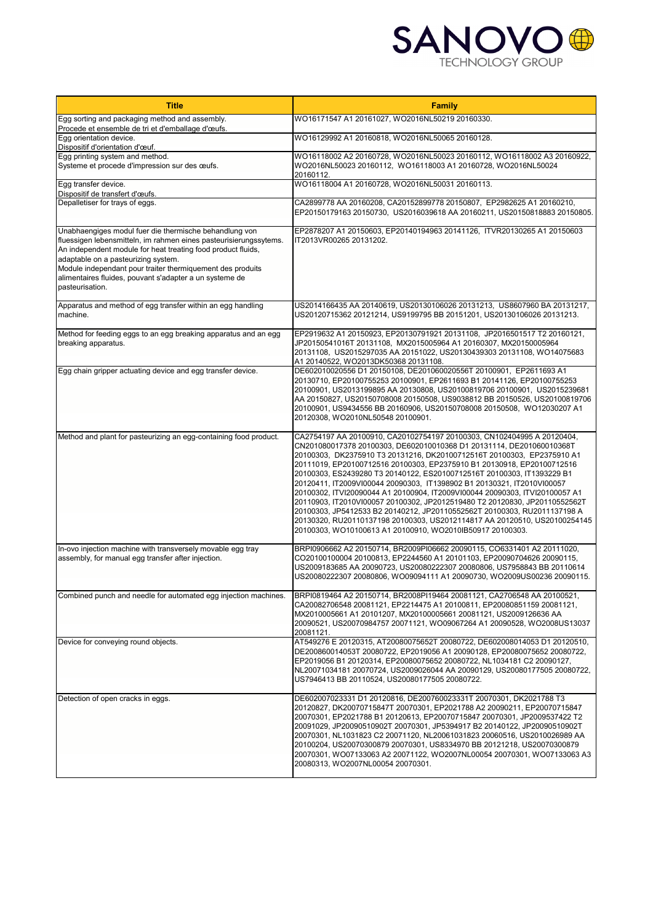

| <b>Title</b>                                                                                                                                                                                                                                                                                                                                                                   | <b>Family</b>                                                                                                                                                                                                                                                                                                                                                                                                                                                                                                                                                                                                                                                                                                                                                                                                                             |
|--------------------------------------------------------------------------------------------------------------------------------------------------------------------------------------------------------------------------------------------------------------------------------------------------------------------------------------------------------------------------------|-------------------------------------------------------------------------------------------------------------------------------------------------------------------------------------------------------------------------------------------------------------------------------------------------------------------------------------------------------------------------------------------------------------------------------------------------------------------------------------------------------------------------------------------------------------------------------------------------------------------------------------------------------------------------------------------------------------------------------------------------------------------------------------------------------------------------------------------|
| Egg sorting and packaging method and assembly.<br>Procede et ensemble de tri et d'emballage d'œufs.                                                                                                                                                                                                                                                                            | WO16171547 A1 20161027, WO2016NL50219 20160330.                                                                                                                                                                                                                                                                                                                                                                                                                                                                                                                                                                                                                                                                                                                                                                                           |
| Egg orientation device.                                                                                                                                                                                                                                                                                                                                                        | WO16129992 A1 20160818, WO2016NL50065 20160128.                                                                                                                                                                                                                                                                                                                                                                                                                                                                                                                                                                                                                                                                                                                                                                                           |
| Dispositif d'orientation d'œuf.<br>Egg printing system and method.<br>Systeme et procede d'impression sur des œufs.                                                                                                                                                                                                                                                            | WO16118002 A2 20160728, WO2016NL50023 20160112, WO16118002 A3 20160922,<br>WO2016NL50023 20160112, WO16118003 A1 20160728, WO2016NL50024<br>20160112.                                                                                                                                                                                                                                                                                                                                                                                                                                                                                                                                                                                                                                                                                     |
| Egg transfer device.<br>Dispositif de transfert d'œufs.                                                                                                                                                                                                                                                                                                                        | WO16118004 A1 20160728, WO2016NL50031 20160113.                                                                                                                                                                                                                                                                                                                                                                                                                                                                                                                                                                                                                                                                                                                                                                                           |
| Depalletiser for trays of eggs.                                                                                                                                                                                                                                                                                                                                                | CA2899778 AA 20160208, CA20152899778 20150807, EP2982625 A1 20160210,<br>EP20150179163 20150730, US2016039618 AA 20160211, US20150818883 20150805.                                                                                                                                                                                                                                                                                                                                                                                                                                                                                                                                                                                                                                                                                        |
| Unabhaengiges modul fuer die thermische behandlung von<br>fluessigen lebensmitteln, im rahmen eines pasteurisierungssytems.<br>An independent module for heat treating food product fluids,<br>adaptable on a pasteurizing system.<br>Module independant pour traiter thermiquement des produits<br>alimentaires fluides, pouvant s'adapter a un systeme de<br>pasteurisation. | EP2878207 A1 20150603, EP20140194963 20141126, ITVR20130265 A1 20150603<br>IT2013VR00265 20131202.                                                                                                                                                                                                                                                                                                                                                                                                                                                                                                                                                                                                                                                                                                                                        |
| Apparatus and method of egg transfer within an egg handling<br>machine.                                                                                                                                                                                                                                                                                                        | US2014166435 AA 20140619, US20130106026 20131213, US8607960 BA 20131217,<br>US20120715362 20121214, US9199795 BB 20151201, US20130106026 20131213.                                                                                                                                                                                                                                                                                                                                                                                                                                                                                                                                                                                                                                                                                        |
| Method for feeding eggs to an egg breaking apparatus and an egg<br>breaking apparatus.                                                                                                                                                                                                                                                                                         | EP2919632 A1 20150923, EP20130791921 20131108, JP2016501517 T2 20160121,<br>JP20150541016T 20131108,MX2015005964 A1 20160307, MX20150005964<br>20131108, US2015297035 AA 20151022, US20130439303 20131108, WO14075683<br>A1 20140522, WO2013DK50368 20131108.                                                                                                                                                                                                                                                                                                                                                                                                                                                                                                                                                                             |
| Egg chain gripper actuating device and egg transfer device.                                                                                                                                                                                                                                                                                                                    | DE602010020556 D1 20150108, DE201060020556T 20100901, EP2611693 A1<br>20130710, EP20100755253 20100901, EP2611693 B1 20141126, EP20100755253<br>20100901, US2013199895 AA 20130808, US20100819706 20100901, US2015239681<br>AA 20150827, US20150708008 20150508, US9038812 BB 20150526, US20100819706<br>20100901, US9434556 BB 20160906, US20150708008 20150508, WO12030207 A1<br>20120308, WO2010NL50548 20100901.                                                                                                                                                                                                                                                                                                                                                                                                                      |
| Method and plant for pasteurizing an egg-containing food product.                                                                                                                                                                                                                                                                                                              | CA2754197 AA 20100910, CA20102754197 20100303, CN102404995 A 20120404,<br>CN201080017378 20100303, DE602010010368 D1 20131114, DE201060010368T<br>20100303, DK2375910 T3 20131216, DK20100712516T 20100303, EP2375910 A1<br>20111019, EP20100712516 20100303, EP2375910 B1 20130918, EP20100712516<br>20100303, ES2439280 T3 20140122, ES20100712516T 20100303, IT1393229 B1<br>20120411, IT2009VI00044 20090303, IT1398902 B1 20130321, IT2010VI00057<br>20100302, ITVI20090044 A1 20100904, IT2009VI00044 20090303, ITVI20100057 A1<br>20110903, IT2010VI00057 20100302, JP2012519480 T2 20120830, JP20110552562T<br>20100303, JP5412533 B2 20140212, JP20110552562T 20100303, RU2011137198 A<br>20130320, RU20110137198 20100303, US2012114817 AA 20120510, US20100254145<br>20100303, WO10100613 A1 20100910, WO2010IB50917 20100303. |
| In-ovo injection machine with transversely movable egg tray<br>assembly, for manual egg transfer after injection.                                                                                                                                                                                                                                                              | BRPI0906662 A2 20150714, BR2009PI06662 20090115, CO6331401 A2 20111020,<br>CO20100100004 20100813, EP2244560 A1 20101103, EP20090704626 20090115,<br>US2009183685 AA 20090723, US20080222307 20080806, US7958843 BB 20110614<br>US20080222307 20080806, WO09094111 A1 20090730, WO2009US00236 20090115.                                                                                                                                                                                                                                                                                                                                                                                                                                                                                                                                   |
| Combined punch and needle for automated egg injection machines.                                                                                                                                                                                                                                                                                                                | BRPI0819464 A2 20150714, BR2008PI19464 20081121, CA2706548 AA 20100521,<br>CA20082706548 20081121, EP2214475 A1 20100811, EP20080851159 20081121,<br>MX2010005661 A1 20101207, MX20100005661 20081121, US2009126636 AA<br>20090521, US20070984757 20071121, WO09067264 A1 20090528, WO2008US13037<br>20081121.                                                                                                                                                                                                                                                                                                                                                                                                                                                                                                                            |
| Device for conveying round objects.                                                                                                                                                                                                                                                                                                                                            | AT549276 E 20120315, AT20080075652T 20080722, DE602008014053 D1 20120510,<br>DE200860014053T 20080722, EP2019056 A1 20090128, EP20080075652 20080722,<br>EP2019056 B1 20120314, EP20080075652 20080722, NL1034181 C2 20090127,<br>NL20071034181 20070724, US2009026044 AA 20090129, US20080177505 20080722,<br>US7946413 BB 20110524, US20080177505 20080722.                                                                                                                                                                                                                                                                                                                                                                                                                                                                             |
| Detection of open cracks in eggs.                                                                                                                                                                                                                                                                                                                                              | DE602007023331 D1 20120816, DE200760023331T 20070301, DK2021788 T3<br>20120827, DK20070715847T 20070301, EP2021788 A2 20090211, EP20070715847<br>20070301, EP2021788 B1 20120613, EP20070715847 20070301, JP2009537422 T2<br>20091029, JP20090510902T 20070301, JP5394917 B2 20140122, JP20090510902T<br>20070301, NL1031823 C2 20071120, NL20061031823 20060516, US2010026989 AA<br>20100204, US20070300879 20070301, US8334970 BB 20121218, US20070300879<br>20070301, WO07133063 A2 20071122, WO2007NL00054 20070301, WO07133063 A3<br>20080313, WO2007NL00054 20070301.                                                                                                                                                                                                                                                               |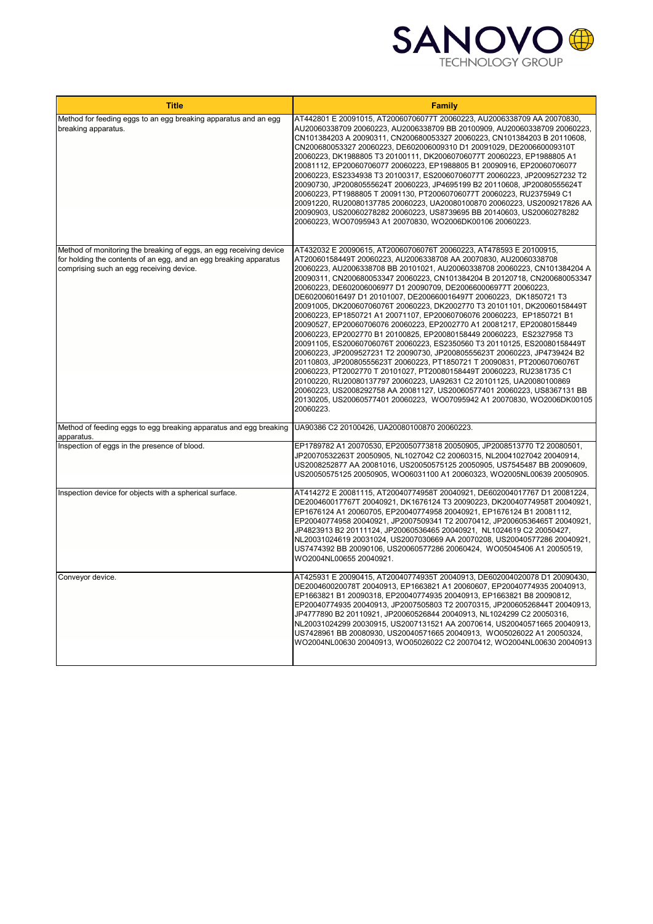

| <b>Title</b>                                                                                                                                                                        | <b>Family</b>                                                                                                                                                                                                                                                                                                                                                                                                                                                                                                                                                                                                                                                                                                                                                                                                                                                                                                                                                                                                                                                                                                                                                                                                                                                                                              |
|-------------------------------------------------------------------------------------------------------------------------------------------------------------------------------------|------------------------------------------------------------------------------------------------------------------------------------------------------------------------------------------------------------------------------------------------------------------------------------------------------------------------------------------------------------------------------------------------------------------------------------------------------------------------------------------------------------------------------------------------------------------------------------------------------------------------------------------------------------------------------------------------------------------------------------------------------------------------------------------------------------------------------------------------------------------------------------------------------------------------------------------------------------------------------------------------------------------------------------------------------------------------------------------------------------------------------------------------------------------------------------------------------------------------------------------------------------------------------------------------------------|
| Method for feeding eggs to an egg breaking apparatus and an egg<br>breaking apparatus.                                                                                              | AT442801 E 20091015, AT20060706077T 20060223, AU2006338709 AA 20070830,<br>AU20060338709 20060223, AU2006338709 BB 20100909, AU20060338709 20060223,<br>CN101384203 A 20090311, CN200680053327 20060223, CN101384203 B 20110608,<br>CN200680053327 20060223, DE602006009310 D1 20091029, DE200660009310T<br>20060223, DK1988805 T3 20100111, DK20060706077T 20060223, EP1988805 A1<br>20081112, EP20060706077 20060223, EP1988805 B1 20090916, EP20060706077<br>20060223, ES2334938 T3 20100317, ES20060706077T 20060223, JP2009527232 T2<br>20090730, JP20080555624T 20060223, JP4695199 B2 20110608, JP20080555624T<br>20060223, PT1988805 T 20091130, PT20060706077T 20060223, RU2375949 C1<br>20091220, RU20080137785 20060223, UA20080100870 20060223, US2009217826 AA<br>20090903, US20060278282 20060223, US8739695 BB 20140603, US20060278282<br>20060223, WO07095943 A1 20070830, WO2006DK00106 20060223.                                                                                                                                                                                                                                                                                                                                                                                         |
| Method of monitoring the breaking of eggs, an egg receiving device<br>for holding the contents of an egg, and an egg breaking apparatus<br>comprising such an egg receiving device. | AT432032 E 20090615, AT20060706076T 20060223, AT478593 E 20100915,<br>AT20060158449T 20060223, AU2006338708 AA 20070830, AU20060338708<br>20060223, AU2006338708 BB 20101021, AU20060338708 20060223, CN101384204 A<br>20090311, CN200680053347 20060223, CN101384204 B 20120718, CN200680053347<br>20060223, DE602006006977 D1 20090709, DE200660006977T 20060223,<br>DE602006016497 D1 20101007, DE200660016497T 20060223, DK1850721 T3<br>20091005, DK20060706076T 20060223, DK2002770 T3 20101101, DK20060158449T<br>20060223, EP1850721 A1 20071107, EP20060706076 20060223, EP1850721 B1<br>20090527, EP20060706076 20060223, EP2002770 A1 20081217, EP20080158449<br>20060223, EP2002770 B1 20100825, EP20080158449 20060223, ES2327958 T3<br>20091105, ES20060706076T 20060223, ES2350560 T3 20110125, ES20080158449T<br>20060223, JP2009527231 T2 20090730, JP20080555623T 20060223, JP4739424 B2<br>20110803, JP20080555623T 20060223, PT1850721 T 20090831, PT20060706076T<br>20060223, PT2002770 T 20101027, PT20080158449T 20060223, RU2381735 C1<br>20100220, RU20080137797 20060223, UA92631 C2 20101125, UA20080100869<br>20060223, US2008292758 AA 20081127, US20060577401 20060223, US8367131 BB<br>20130205, US20060577401 20060223, WO07095942 A1 20070830, WO2006DK00105<br>20060223. |
| Method of feeding eggs to egg breaking apparatus and egg breaking<br>apparatus.                                                                                                     | UA90386 C2 20100426, UA20080100870 20060223.                                                                                                                                                                                                                                                                                                                                                                                                                                                                                                                                                                                                                                                                                                                                                                                                                                                                                                                                                                                                                                                                                                                                                                                                                                                               |
| Inspection of eggs in the presence of blood.                                                                                                                                        | EP1789782 A1 20070530, EP20050773818 20050905, JP2008513770 T2 20080501,<br>JP20070532263T 20050905, NL1027042 C2 20060315, NL20041027042 20040914,<br>US2008252877 AA 20081016, US20050575125 20050905, US7545487 BB 20090609,<br>US20050575125 20050905, WO06031100 A1 20060323, WO2005NL00639 20050905.                                                                                                                                                                                                                                                                                                                                                                                                                                                                                                                                                                                                                                                                                                                                                                                                                                                                                                                                                                                                 |
| Inspection device for objects with a spherical surface.                                                                                                                             | AT414272 E 20081115, AT20040774958T 20040921, DE602004017767 D1 20081224,<br>DE200460017767T 20040921, DK1676124 T3 20090223, DK20040774958T 20040921,<br>EP1676124 A1 20060705, EP20040774958 20040921, EP1676124 B1 20081112,<br>EP20040774958 20040921, JP2007509341 T2 20070412, JP20060536465T 20040921,<br>JP4823913 B2 20111124, JP20060536465 20040921, NL1024619 C2 20050427,<br>NL20031024619 20031024, US2007030669 AA 20070208, US20040577286 20040921,<br>US7474392 BB 20090106, US20060577286 20060424, WO05045406 A1 20050519,<br>WO2004NL00655 20040921.                                                                                                                                                                                                                                                                                                                                                                                                                                                                                                                                                                                                                                                                                                                                   |
| Conveyor device.                                                                                                                                                                    | AT425931 E 20090415, AT20040774935T 20040913, DE602004020078 D1 20090430,<br>DE200460020078T 20040913, EP1663821 A1 20060607, EP20040774935 20040913,<br>EP1663821 B1 20090318, EP20040774935 20040913, EP1663821 B8 20090812,<br>EP20040774935 20040913, JP2007505803 T2 20070315, JP20060526844T 20040913,<br>JP4777890 B2 20110921, JP20060526844 20040913, NL1024299 C2 20050316,<br>NL20031024299 20030915, US2007131521 AA 20070614, US20040571665 20040913,<br>US7428961 BB 20080930, US20040571665 20040913, WO05026022 A1 20050324,<br>WO2004NL00630 20040913, WO05026022 C2 20070412, WO2004NL00630 20040913                                                                                                                                                                                                                                                                                                                                                                                                                                                                                                                                                                                                                                                                                     |